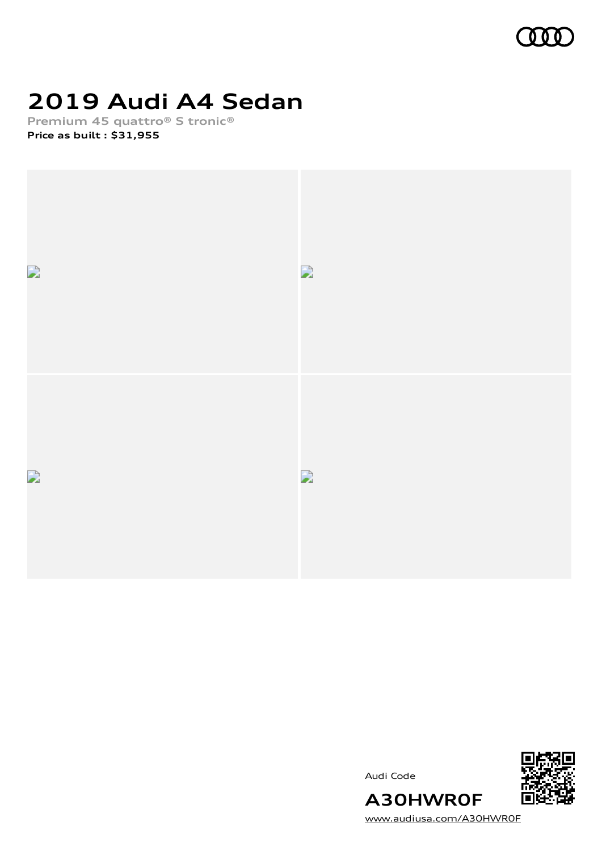

# **2019 Audi A4 Sedan**

**Premium 45 quattro® S tronic® Price as built [:](#page-10-0) \$31,955**





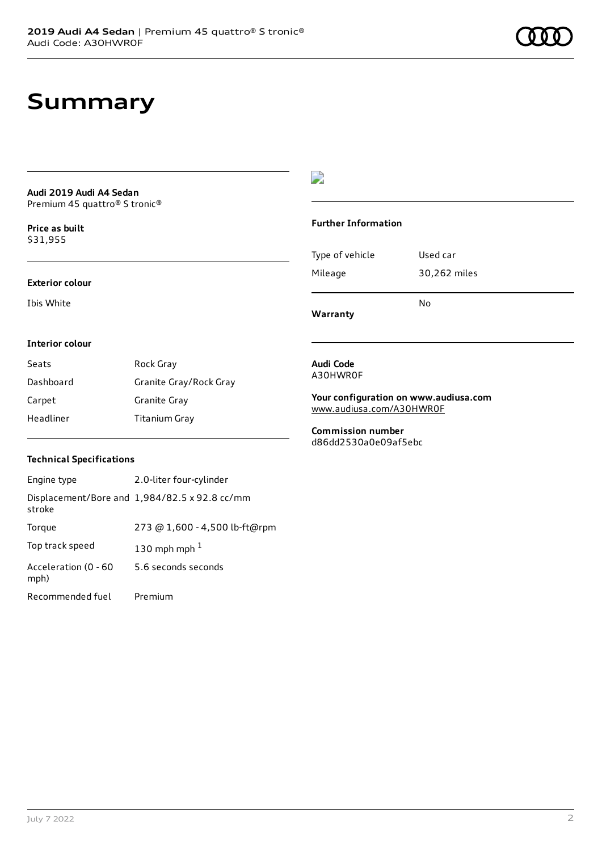## **Summary**

### **Audi 2019 Audi A4 Sedan** Premium 45 quattro® S tronic®

**Price as buil[t](#page-10-0)** \$31,955

#### **Exterior colour**

Ibis White

### $\overline{\phantom{a}}$

#### **Further Information**

|                 | N٥           |
|-----------------|--------------|
| Mileage         | 30,262 miles |
| Type of vehicle | Used car     |

**Warranty**

#### **Interior colour**

| Seats     | Rock Gray              |
|-----------|------------------------|
| Dashboard | Granite Gray/Rock Gray |
| Carpet    | Granite Gray           |
| Headliner | Titanium Gray          |

#### **Audi Code** A30HWR0F

**Your configuration on www.audiusa.com** [www.audiusa.com/A30HWR0F](https://www.audiusa.com/A30HWR0F)

**Commission number** d86dd2530a0e09af5ebc

### **Technical Specifications**

| Engine type                  | 2.0-liter four-cylinder                       |
|------------------------------|-----------------------------------------------|
| stroke                       | Displacement/Bore and 1,984/82.5 x 92.8 cc/mm |
| Torque                       | 273 @ 1,600 - 4,500 lb-ft@rpm                 |
| Top track speed              | 130 mph mph $1$                               |
| Acceleration (0 - 60<br>mph) | 5.6 seconds seconds                           |
| Recommended fuel             | Premium                                       |

July 7 2022 2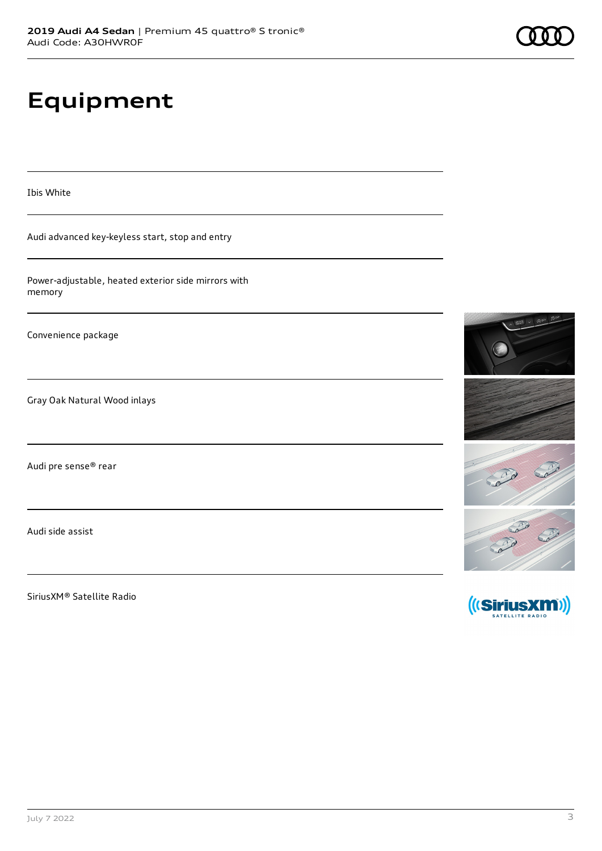# **Equipment**

Ibis White

Audi advanced key-keyless start, stop and entry

Power-adjustable, heated exterior side mirrors with memory

Convenience package

Gray Oak Natural Wood inlays

Audi pre sense® rear

Audi side assist

SiriusXM® Satellite Radio



SATELLITE RADIO

Card Card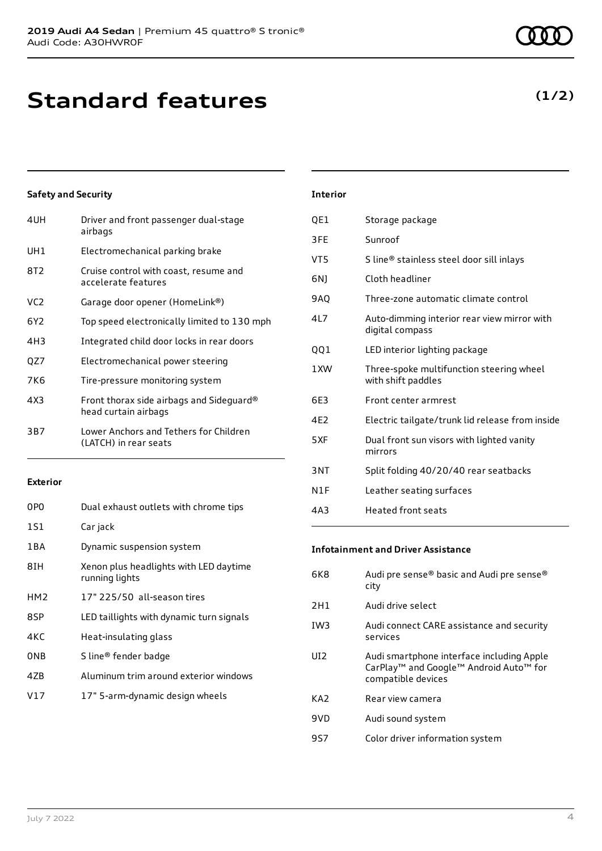## **Standard features**

### **Safety and Security**

| 4UH | Driver and front passenger dual-stage<br>airbags                 |
|-----|------------------------------------------------------------------|
| UH1 | Electromechanical parking brake                                  |
| 8T2 | Cruise control with coast, resume and<br>accelerate features     |
| VC2 | Garage door opener (HomeLink®)                                   |
| 6Y2 | Top speed electronically limited to 130 mph                      |
| 4H3 | Integrated child door locks in rear doors                        |
| QZ7 | Electromechanical power steering                                 |
| 7K6 | Tire-pressure monitoring system                                  |
| 4X3 | Front thorax side airbags and Sideguard®<br>head curtain airbags |
| 3B7 | Lower Anchors and Tethers for Children<br>(LATCH) in rear seats  |
|     |                                                                  |

### **Exterior**

| 0P <sub>0</sub> | Dual exhaust outlets with chrome tips                    |
|-----------------|----------------------------------------------------------|
| 1S1             | Car jack                                                 |
| 1 B A           | Dynamic suspension system                                |
| 8TH             | Xenon plus headlights with LED daytime<br>running lights |
| HM <sub>2</sub> | 17" 225/50 all-season tires                              |
| 8SP             | LED taillights with dynamic turn signals                 |
| 4KC             | Heat-insulating glass                                    |
| <b>ONB</b>      | S line® fender badge                                     |
| 47 <sub>B</sub> | Aluminum trim around exterior windows                    |
| V17             | 17" 5-arm-dynamic design wheels                          |

### **Interior**

| QE1 | Storage package                                                |
|-----|----------------------------------------------------------------|
| 3FE | Sunroof                                                        |
| VT5 | S line® stainless steel door sill inlays                       |
| 6N) | Cloth headliner                                                |
| 9AQ | Three-zone automatic climate control                           |
| 417 | Auto-dimming interior rear view mirror with<br>digital compass |
| QQ1 | LED interior lighting package                                  |
| 1XW | Three-spoke multifunction steering wheel<br>with shift paddles |
| 6E3 | Front center armrest                                           |
| 4E2 | Electric tailgate/trunk lid release from inside                |
| 5XF | Dual front sun visors with lighted vanity<br>mirrors           |
| 3NT | Split folding 40/20/40 rear seatbacks                          |
| N1F | Leather seating surfaces                                       |
| 4A3 | <b>Heated front seats</b>                                      |

### **Infotainment and Driver Assistance**

| 6K8 | Audi pre sense® basic and Audi pre sense®<br>city                                                                                             |
|-----|-----------------------------------------------------------------------------------------------------------------------------------------------|
| 2H1 | Audi drive select                                                                                                                             |
| IW3 | Audi connect CARE assistance and security<br>services                                                                                         |
| UD. | Audi smartphone interface including Apple<br>CarPlay <sup>™</sup> and Google <sup>™</sup> Android Auto <sup>™</sup> for<br>compatible devices |
| KA2 | Rear view camera                                                                                                                              |
| 9VD | Audi sound system                                                                                                                             |
| 957 | Color driver information system                                                                                                               |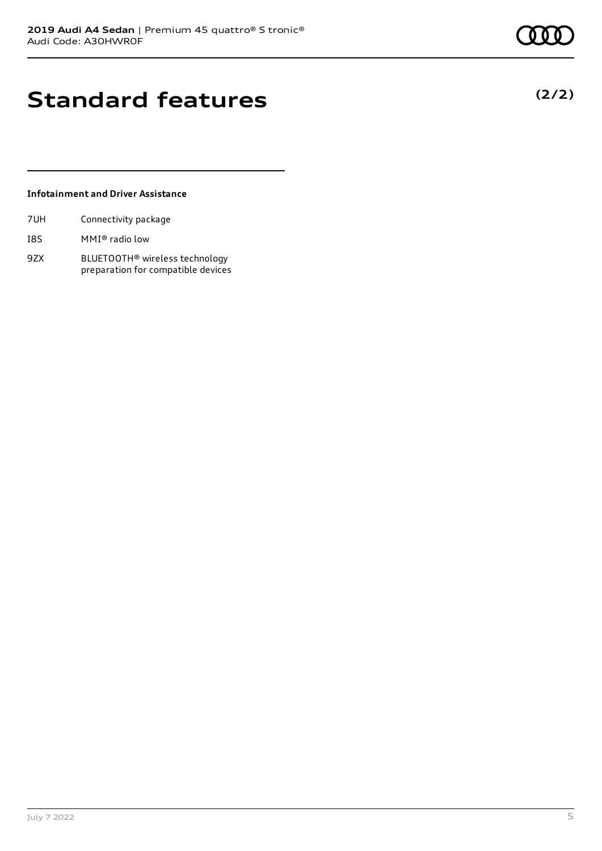**(2/2)**

## **Standard features**

### **Infotainment and Driver Assistance**

- I8S MMI® radio low
- 9ZX BLUETOOTH® wireless technology preparation for compatible devices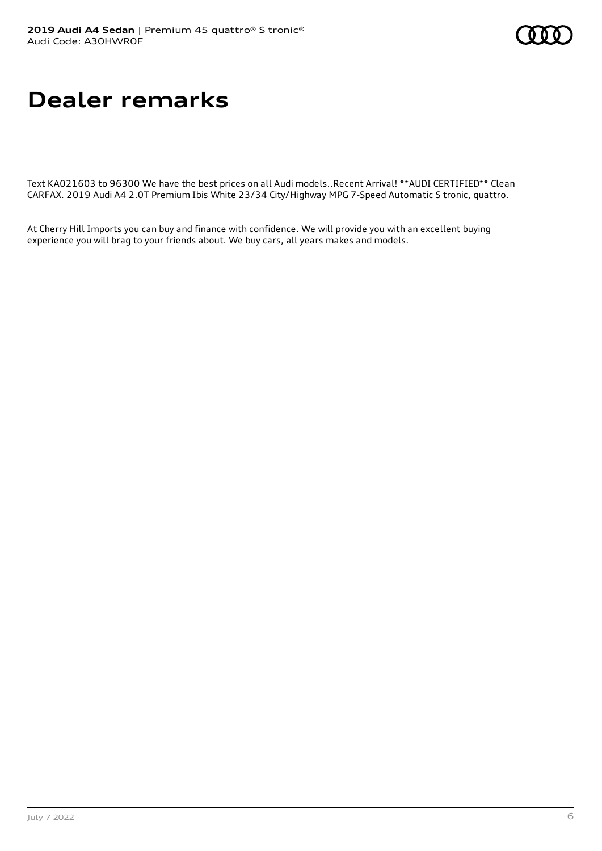## **Dealer remarks**

Text KA021603 to 96300 We have the best prices on all Audi models..Recent Arrival! \*\*AUDI CERTIFIED\*\* Clean CARFAX. 2019 Audi A4 2.0T Premium Ibis White 23/34 City/Highway MPG 7-Speed Automatic S tronic, quattro.

At Cherry Hill Imports you can buy and finance with confidence. We will provide you with an excellent buying experience you will brag to your friends about. We buy cars, all years makes and models.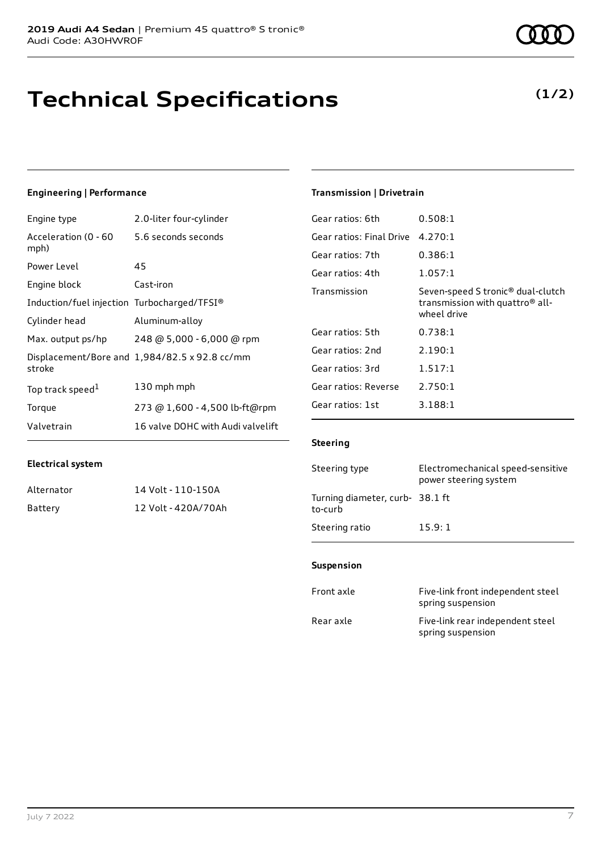# **Technical Specifications**

### **Engineering | Performance**

| Engine type                                 | 2.0-liter four-cylinder                       |
|---------------------------------------------|-----------------------------------------------|
| Acceleration (0 - 60<br>mph)                | 5.6 seconds seconds                           |
| Power Level                                 | 45                                            |
| Engine block                                | Cast-iron                                     |
| Induction/fuel injection Turbocharged/TFSI® |                                               |
| Cylinder head                               | Aluminum-alloy                                |
| Max. output ps/hp                           | 248 @ 5,000 - 6,000 @ rpm                     |
| stroke                                      | Displacement/Bore and 1,984/82.5 x 92.8 cc/mm |
| Top track speed <sup>1</sup>                | 130 mph mph                                   |
| Torque                                      | 273 @ 1,600 - 4,500 lb-ft@rpm                 |
| Valvetrain                                  | 16 valve DOHC with Audi valvelift             |

### **Transmission | Drivetrain**

| Gear ratios: 6th         | 0.508:1                                                                                                     |
|--------------------------|-------------------------------------------------------------------------------------------------------------|
| Gear ratios: Final Drive | 4.270:1                                                                                                     |
| Gear ratios: 7th         | 0.386:1                                                                                                     |
| Gear ratios: 4th         | 1.057:1                                                                                                     |
| Transmission             | Seven-speed S tronic <sup>®</sup> dual-clutch<br>transmission with quattro <sup>®</sup> all-<br>wheel drive |
| Gear ratios: 5th         | 0.738:1                                                                                                     |
| Gear ratios: 2nd         | 2.190:1                                                                                                     |
| Gear ratios: 3rd         | 1.517:1                                                                                                     |
| Gear ratios: Reverse     | 2.750:1                                                                                                     |
| Gear ratios: 1st         | 3.188:1                                                                                                     |
|                          |                                                                                                             |

### **Steering**

| Steering type                             | Electromechanical speed-sensitive<br>power steering system |
|-------------------------------------------|------------------------------------------------------------|
| Turning diameter, curb-38.1 ft<br>to-curb |                                                            |
| Steering ratio                            | 15.9:1                                                     |

### **Suspension**

| Front axle | Five-link front independent steel<br>spring suspension |
|------------|--------------------------------------------------------|
| Rear axle  | Five-link rear independent steel<br>spring suspension  |

| Alternator | 14 Volt - 110-150A  |
|------------|---------------------|
| Battery    | 12 Volt - 420A/70Ah |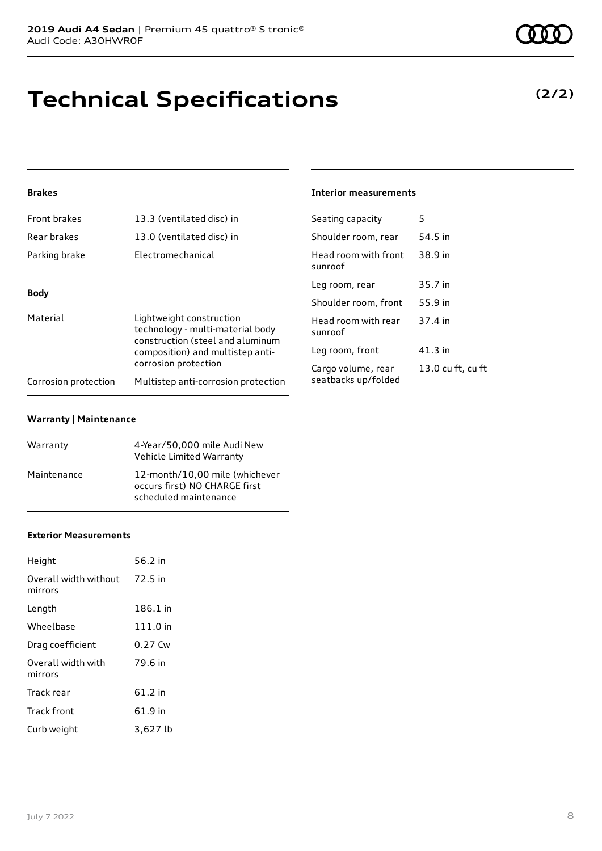# **Technical Specifications**

### **(2/2)**

### **Brakes**

| Front brakes                                                                                                                | 13.3 (ventilated disc) in           | Seating capacity                | 5       |
|-----------------------------------------------------------------------------------------------------------------------------|-------------------------------------|---------------------------------|---------|
| Rear brakes                                                                                                                 | 13.0 (ventilated disc) in           | Shoulder room, rear             | 54.5 in |
| Parking brake                                                                                                               | Electromechanical                   | Head room with front<br>sunroof | 38.9 in |
| <b>Body</b><br>Material<br>Lightweight construction<br>technology - multi-material body<br>construction (steel and aluminum |                                     | Leg room, rear                  | 35.7 in |
|                                                                                                                             |                                     | Shoulder room, front            | 55.9 in |
|                                                                                                                             |                                     | Head room with rear<br>sunroof  | 37.4 in |
| composition) and multistep anti-                                                                                            | Leg room, front                     | 41.3 in                         |         |
|                                                                                                                             | corrosion protection                | Cargo volume, rear              | 13.0 cu |
| Corrosion protection                                                                                                        | Multistep anti-corrosion protection | seatbacks up/folded             |         |

**Interior measurements**

13.0 cu ft, cu ft

#### **Warranty | Maintenance**

| Warranty    | 4-Year/50,000 mile Audi New<br>Vehicle Limited Warranty                                  |
|-------------|------------------------------------------------------------------------------------------|
| Maintenance | 12-month/10,00 mile (whichever<br>occurs first) NO CHARGE first<br>scheduled maintenance |

#### **Exterior Measurements**

| Height                                   | 56.2 in  |
|------------------------------------------|----------|
| Overall width without 72.5 in<br>mirrors |          |
| Length                                   | 186.1 in |
| Wheelbase                                | 111.0 in |
| Drag coefficient                         | 0.27 Cw  |
| Overall width with<br>mirrors            | 79.6 in  |
| Track rear                               | 61.2 in  |
| Track front                              | 61.9 in  |
| Curb weight                              | 3,627 lb |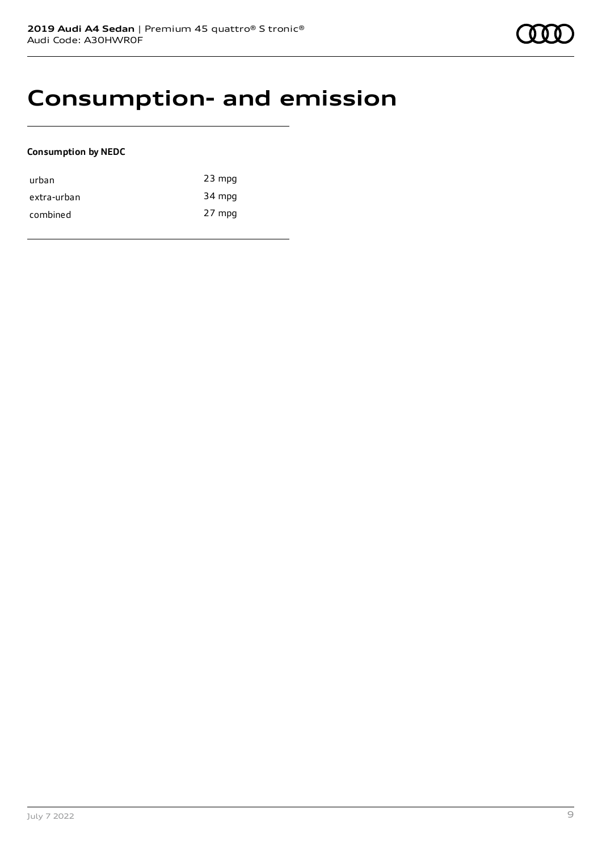### **Consumption- and emission**

### **Consumption by NEDC**

| urban       | $23$ mpg |
|-------------|----------|
| extra-urban | 34 mpg   |
| combined    | 27 mpg   |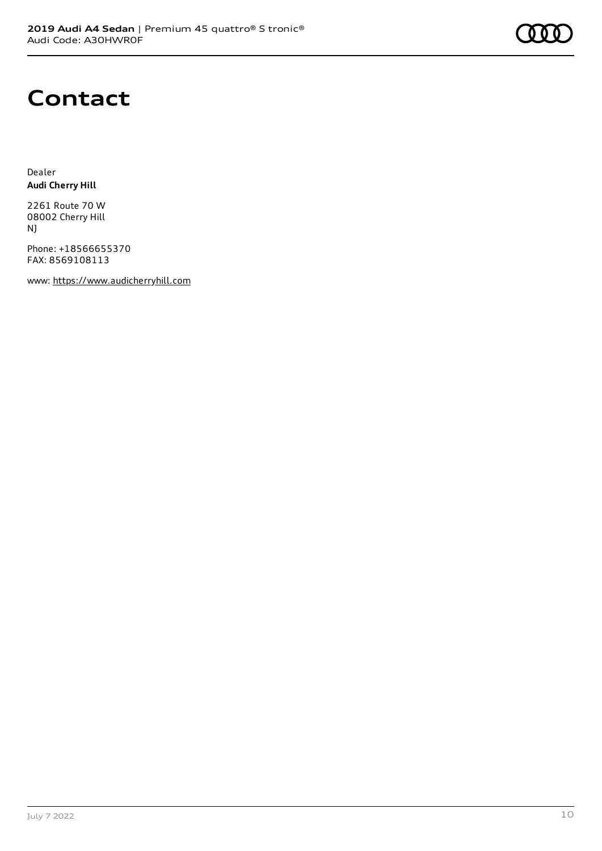### **Contact**

Dealer **Audi Cherry Hill**

2261 Route 70 W 08002 Cherry Hill NJ

Phone: +18566655370 FAX: 8569108113

www: [https://www.audicherryhill.com](https://www.audicherryhill.com/)